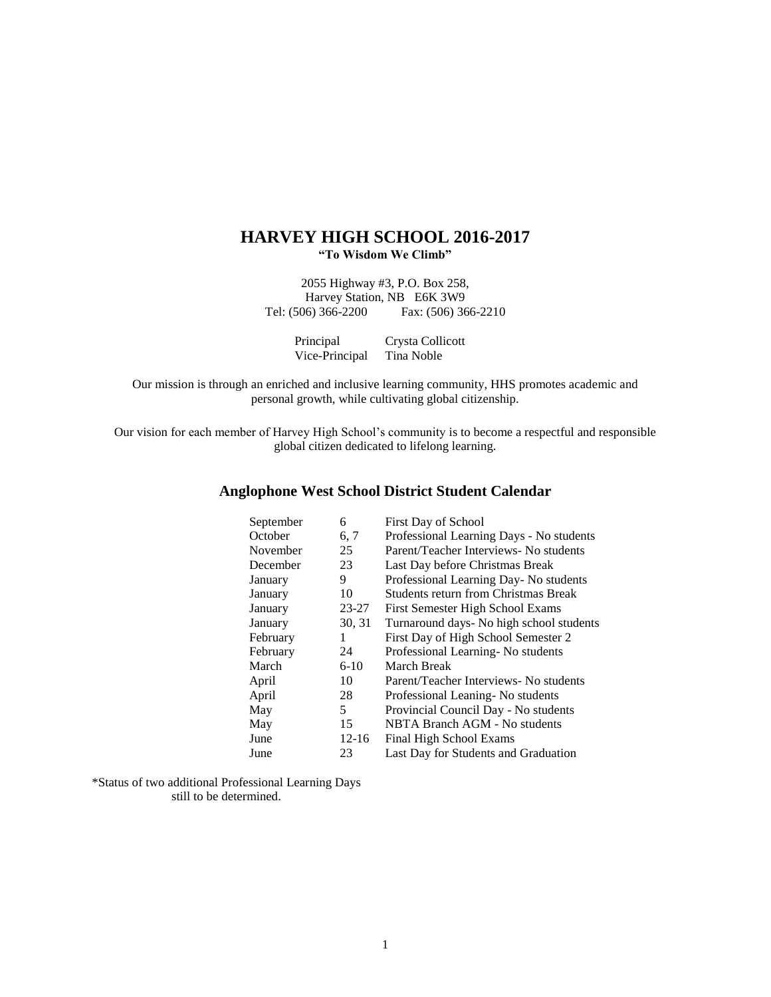# **HARVEY HIGH SCHOOL 2016-2017 "To Wisdom We Climb"**

2055 Highway #3, P.O. Box 258, Harvey Station, NB E6K 3W9 Tel: (506) 366-2200 Fax: (506) 366-2210

| Principal      | Crysta Collicott |
|----------------|------------------|
| Vice-Principal | Tina Noble       |

Our mission is through an enriched and inclusive learning community, HHS promotes academic and personal growth, while cultivating global citizenship.

Our vision for each member of Harvey High School's community is to become a respectful and responsible global citizen dedicated to lifelong learning.

# **Anglophone West School District Student Calendar**

| September | 6         | First Day of School                         |
|-----------|-----------|---------------------------------------------|
| October   | 6, 7      | Professional Learning Days - No students    |
| November  | 25        | Parent/Teacher Interviews- No students      |
| December  | 23        | Last Day before Christmas Break             |
| January   | 9         | Professional Learning Day- No students      |
| January   | 10        | <b>Students return from Christmas Break</b> |
| January   | 23-27     | First Semester High School Exams            |
| January   | 30, 31    | Turnaround days- No high school students    |
| February  | 1         | First Day of High School Semester 2         |
| February  | 24        | Professional Learning-No students           |
| March     | $6-10$    | March Break                                 |
| April     | 10        | Parent/Teacher Interviews- No students      |
| April     | 28        | Professional Leaning-No students            |
| May       | 5         | Provincial Council Day - No students        |
| May       | 15        | NBTA Branch AGM - No students               |
| June      | $12 - 16$ | Final High School Exams                     |
| June      | 23        | Last Day for Students and Graduation        |

\*Status of two additional Professional Learning Days still to be determined.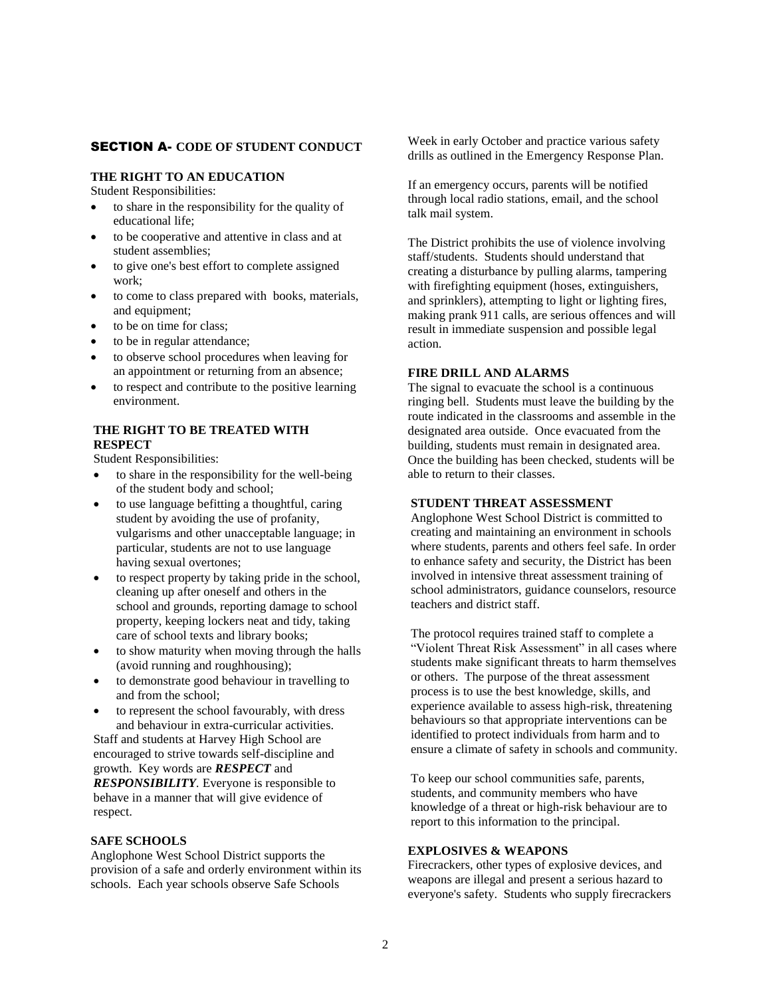# SECTION A- **CODE OF STUDENT CONDUCT**

## **THE RIGHT TO AN EDUCATION**

Student Responsibilities:

- to share in the responsibility for the quality of educational life;
- to be cooperative and attentive in class and at student assemblies;
- to give one's best effort to complete assigned work;
- to come to class prepared with books, materials, and equipment;
- to be on time for class;
- to be in regular attendance;
- to observe school procedures when leaving for an appointment or returning from an absence;
- to respect and contribute to the positive learning environment.

# **THE RIGHT TO BE TREATED WITH RESPECT**

Student Responsibilities:

- to share in the responsibility for the well-being of the student body and school;
- to use language befitting a thoughtful, caring student by avoiding the use of profanity, vulgarisms and other unacceptable language; in particular, students are not to use language having sexual overtones;
- to respect property by taking pride in the school, cleaning up after oneself and others in the school and grounds, reporting damage to school property, keeping lockers neat and tidy, taking care of school texts and library books;
- to show maturity when moving through the halls (avoid running and roughhousing);
- to demonstrate good behaviour in travelling to and from the school;
- to represent the school favourably, with dress and behaviour in extra-curricular activities.

Staff and students at Harvey High School are encouraged to strive towards self-discipline and growth. Key words are *RESPECT* and *RESPONSIBILITY.* Everyone is responsible to behave in a manner that will give evidence of respect.

#### **SAFE SCHOOLS**

Anglophone West School District supports the provision of a safe and orderly environment within its schools. Each year schools observe Safe Schools

Week in early October and practice various safety drills as outlined in the Emergency Response Plan.

If an emergency occurs, parents will be notified through local radio stations, email, and the school talk mail system.

The District prohibits the use of violence involving staff/students. Students should understand that creating a disturbance by pulling alarms, tampering with firefighting equipment (hoses, extinguishers, and sprinklers), attempting to light or lighting fires, making prank 911 calls, are serious offences and will result in immediate suspension and possible legal action.

### **FIRE DRILL AND ALARMS**

The signal to evacuate the school is a continuous ringing bell. Students must leave the building by the route indicated in the classrooms and assemble in the designated area outside. Once evacuated from the building, students must remain in designated area. Once the building has been checked, students will be able to return to their classes.

### **STUDENT THREAT ASSESSMENT**

Anglophone West School District is committed to creating and maintaining an environment in schools where students, parents and others feel safe. In order to enhance safety and security, the District has been involved in intensive threat assessment training of school administrators, guidance counselors, resource teachers and district staff.

The protocol requires trained staff to complete a "Violent Threat Risk Assessment" in all cases where students make significant threats to harm themselves or others. The purpose of the threat assessment process is to use the best knowledge, skills, and experience available to assess high-risk, threatening behaviours so that appropriate interventions can be identified to protect individuals from harm and to ensure a climate of safety in schools and community.

To keep our school communities safe, parents, students, and community members who have knowledge of a threat or high-risk behaviour are to report to this information to the principal.

#### **EXPLOSIVES & WEAPONS**

Firecrackers, other types of explosive devices, and weapons are illegal and present a serious hazard to everyone's safety. Students who supply firecrackers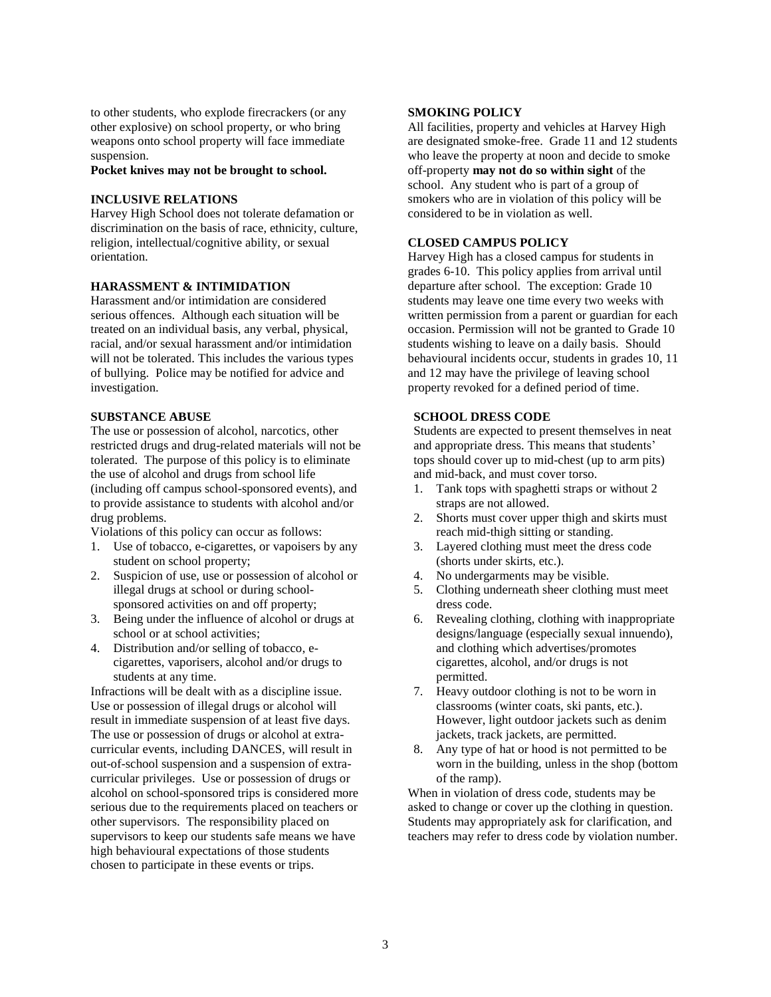to other students, who explode firecrackers (or any other explosive) on school property, or who bring weapons onto school property will face immediate suspension.

**Pocket knives may not be brought to school.**

#### **INCLUSIVE RELATIONS**

Harvey High School does not tolerate defamation or discrimination on the basis of race, ethnicity, culture, religion, intellectual/cognitive ability, or sexual orientation.

### **HARASSMENT & INTIMIDATION**

Harassment and/or intimidation are considered serious offences. Although each situation will be treated on an individual basis, any verbal, physical, racial, and/or sexual harassment and/or intimidation will not be tolerated. This includes the various types of bullying. Police may be notified for advice and investigation.

#### **SUBSTANCE ABUSE**

The use or possession of alcohol, narcotics, other restricted drugs and drug-related materials will not be tolerated. The purpose of this policy is to eliminate the use of alcohol and drugs from school life (including off campus school-sponsored events), and to provide assistance to students with alcohol and/or drug problems.

Violations of this policy can occur as follows:

- 1. Use of tobacco, e-cigarettes, or vapoisers by any student on school property;
- 2. Suspicion of use, use or possession of alcohol or illegal drugs at school or during schoolsponsored activities on and off property;
- 3. Being under the influence of alcohol or drugs at school or at school activities;
- 4. Distribution and/or selling of tobacco, ecigarettes, vaporisers, alcohol and/or drugs to students at any time.

Infractions will be dealt with as a discipline issue. Use or possession of illegal drugs or alcohol will result in immediate suspension of at least five days. The use or possession of drugs or alcohol at extracurricular events, including DANCES*,* will result in out-of-school suspension and a suspension of extracurricular privileges. Use or possession of drugs or alcohol on school-sponsored trips is considered more serious due to the requirements placed on teachers or other supervisors. The responsibility placed on supervisors to keep our students safe means we have high behavioural expectations of those students chosen to participate in these events or trips.

#### **SMOKING POLICY**

All facilities, property and vehicles at Harvey High are designated smoke-free. Grade 11 and 12 students who leave the property at noon and decide to smoke off-property **may not do so within sight** of the school. Any student who is part of a group of smokers who are in violation of this policy will be considered to be in violation as well.

### **CLOSED CAMPUS POLICY**

Harvey High has a closed campus for students in grades 6-10. This policy applies from arrival until departure after school. The exception: Grade 10 students may leave one time every two weeks with written permission from a parent or guardian for each occasion. Permission will not be granted to Grade 10 students wishing to leave on a daily basis. Should behavioural incidents occur, students in grades 10, 11 and 12 may have the privilege of leaving school property revoked for a defined period of time.

#### **SCHOOL DRESS CODE**

Students are expected to present themselves in neat and appropriate dress. This means that students' tops should cover up to mid-chest (up to arm pits) and mid-back, and must cover torso.

- 1. Tank tops with spaghetti straps or without 2 straps are not allowed.
- 2. Shorts must cover upper thigh and skirts must reach mid-thigh sitting or standing.
- 3. Layered clothing must meet the dress code (shorts under skirts, etc.).
- 4. No undergarments may be visible.
- 5. Clothing underneath sheer clothing must meet dress code.
- 6. Revealing clothing, clothing with inappropriate designs/language (especially sexual innuendo), and clothing which advertises/promotes cigarettes, alcohol, and/or drugs is not permitted.
- 7. Heavy outdoor clothing is not to be worn in classrooms (winter coats, ski pants, etc.). However, light outdoor jackets such as denim jackets, track jackets, are permitted.
- 8. Any type of hat or hood is not permitted to be worn in the building, unless in the shop (bottom of the ramp).

When in violation of dress code, students may be asked to change or cover up the clothing in question. Students may appropriately ask for clarification, and teachers may refer to dress code by violation number.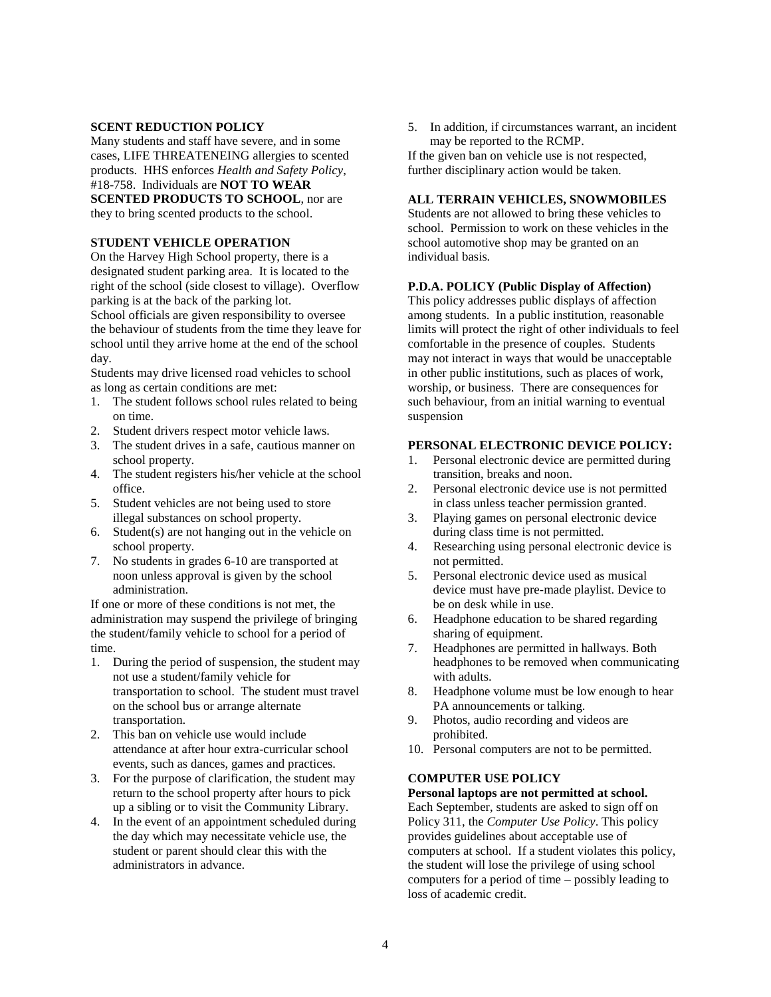#### **SCENT REDUCTION POLICY**

Many students and staff have severe, and in some cases, LIFE THREATENEING allergies to scented products. HHS enforces *Health and Safety Policy*, #18-758. Individuals are **NOT TO WEAR SCENTED PRODUCTS TO SCHOOL**, nor are they to bring scented products to the school.

### **STUDENT VEHICLE OPERATION**

On the Harvey High School property, there is a designated student parking area. It is located to the right of the school (side closest to village). Overflow parking is at the back of the parking lot. School officials are given responsibility to oversee

the behaviour of students from the time they leave for school until they arrive home at the end of the school day.

Students may drive licensed road vehicles to school as long as certain conditions are met:

- 1. The student follows school rules related to being on time.
- 2. Student drivers respect motor vehicle laws.
- 3. The student drives in a safe, cautious manner on school property.
- 4. The student registers his/her vehicle at the school office.
- 5. Student vehicles are not being used to store illegal substances on school property.
- 6. Student(s) are not hanging out in the vehicle on school property.
- 7. No students in grades 6-10 are transported at noon unless approval is given by the school administration.

If one or more of these conditions is not met, the administration may suspend the privilege of bringing the student/family vehicle to school for a period of time.

- 1. During the period of suspension, the student may not use a student/family vehicle for transportation to school. The student must travel on the school bus or arrange alternate transportation.
- 2. This ban on vehicle use would include attendance at after hour extra-curricular school events, such as dances, games and practices.
- 3. For the purpose of clarification, the student may return to the school property after hours to pick up a sibling or to visit the Community Library.
- 4. In the event of an appointment scheduled during the day which may necessitate vehicle use, the student or parent should clear this with the administrators in advance.

5. In addition, if circumstances warrant, an incident may be reported to the RCMP.

If the given ban on vehicle use is not respected, further disciplinary action would be taken.

### **ALL TERRAIN VEHICLES, SNOWMOBILES**

Students are not allowed to bring these vehicles to school. Permission to work on these vehicles in the school automotive shop may be granted on an individual basis.

### **P.D.A. POLICY (Public Display of Affection)**

This policy addresses public displays of affection among students. In a public institution, reasonable limits will protect the right of other individuals to feel comfortable in the presence of couples. Students may not interact in ways that would be unacceptable in other public institutions, such as places of work, worship, or business. There are consequences for such behaviour, from an initial warning to eventual suspension

### **PERSONAL ELECTRONIC DEVICE POLICY:**

- 1. Personal electronic device are permitted during transition, breaks and noon.
- 2. Personal electronic device use is not permitted in class unless teacher permission granted.
- 3. Playing games on personal electronic device during class time is not permitted.
- 4. Researching using personal electronic device is not permitted.
- 5. Personal electronic device used as musical device must have pre-made playlist. Device to be on desk while in use.
- 6. Headphone education to be shared regarding sharing of equipment.
- 7. Headphones are permitted in hallways. Both headphones to be removed when communicating with adults.
- 8. Headphone volume must be low enough to hear PA announcements or talking.
- 9. Photos, audio recording and videos are prohibited.
- 10. Personal computers are not to be permitted.

# **COMPUTER USE POLICY**

### **Personal laptops are not permitted at school.**

Each September, students are asked to sign off on Policy 311, the *Computer Use Policy*. This policy provides guidelines about acceptable use of computers at school. If a student violates this policy, the student will lose the privilege of using school computers for a period of time – possibly leading to loss of academic credit.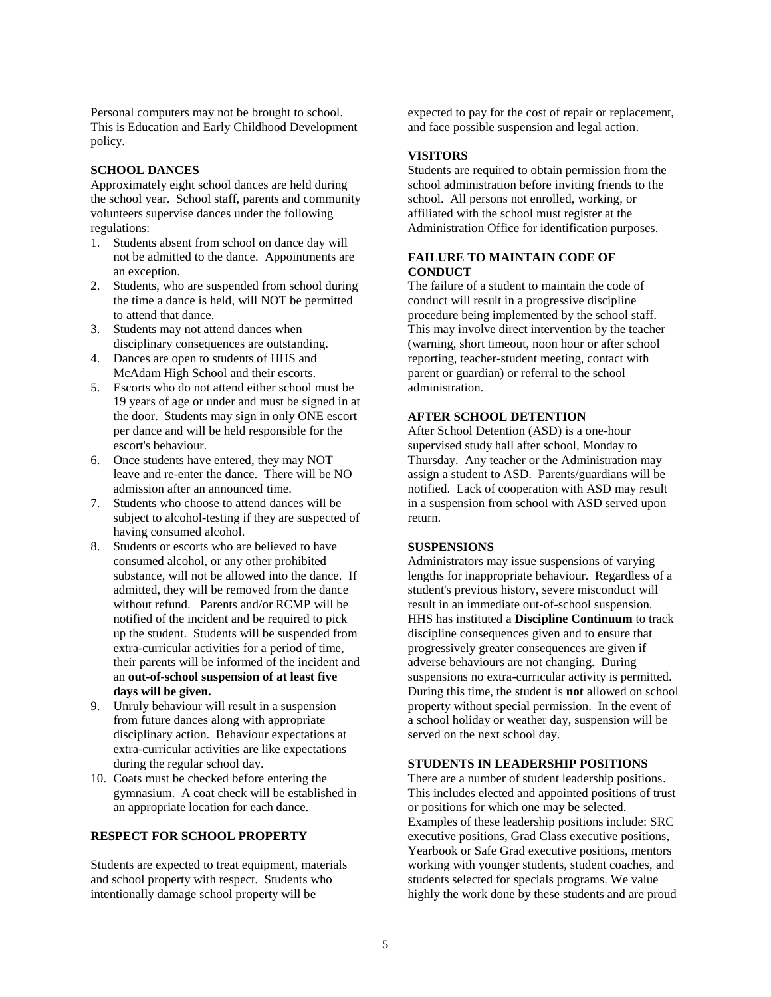Personal computers may not be brought to school. This is Education and Early Childhood Development policy.

### **SCHOOL DANCES**

Approximately eight school dances are held during the school year. School staff, parents and community volunteers supervise dances under the following regulations:

- 1. Students absent from school on dance day will not be admitted to the dance. Appointments are an exception.
- 2. Students, who are suspended from school during the time a dance is held, will NOT be permitted to attend that dance.
- 3. Students may not attend dances when disciplinary consequences are outstanding.
- 4. Dances are open to students of HHS and McAdam High School and their escorts.
- 5. Escorts who do not attend either school must be 19 years of age or under and must be signed in at the door. Students may sign in only ONE escort per dance and will be held responsible for the escort's behaviour.
- 6. Once students have entered, they may NOT leave and re-enter the dance. There will be NO admission after an announced time.
- 7. Students who choose to attend dances will be subject to alcohol-testing if they are suspected of having consumed alcohol.
- 8. Students or escorts who are believed to have consumed alcohol, or any other prohibited substance, will not be allowed into the dance. If admitted, they will be removed from the dance without refund. Parents and/or RCMP will be notified of the incident and be required to pick up the student. Students will be suspended from extra-curricular activities for a period of time, their parents will be informed of the incident and an **out-of-school suspension of at least five days will be given.**
- 9. Unruly behaviour will result in a suspension from future dances along with appropriate disciplinary action. Behaviour expectations at extra-curricular activities are like expectations during the regular school day.
- 10. Coats must be checked before entering the gymnasium. A coat check will be established in an appropriate location for each dance.

### **RESPECT FOR SCHOOL PROPERTY**

Students are expected to treat equipment, materials and school property with respect. Students who intentionally damage school property will be

expected to pay for the cost of repair or replacement, and face possible suspension and legal action.

### **VISITORS**

Students are required to obtain permission from the school administration before inviting friends to the school. All persons not enrolled, working, or affiliated with the school must register at the Administration Office for identification purposes.

# **FAILURE TO MAINTAIN CODE OF CONDUCT**

The failure of a student to maintain the code of conduct will result in a progressive discipline procedure being implemented by the school staff. This may involve direct intervention by the teacher (warning, short timeout, noon hour or after school reporting, teacher-student meeting, contact with parent or guardian) or referral to the school administration.

### **AFTER SCHOOL DETENTION**

After School Detention (ASD) is a one-hour supervised study hall after school, Monday to Thursday. Any teacher or the Administration may assign a student to ASD. Parents/guardians will be notified. Lack of cooperation with ASD may result in a suspension from school with ASD served upon return.

# **SUSPENSIONS**

Administrators may issue suspensions of varying lengths for inappropriate behaviour. Regardless of a student's previous history, severe misconduct will result in an immediate out-of-school suspension. HHS has instituted a **Discipline Continuum** to track discipline consequences given and to ensure that progressively greater consequences are given if adverse behaviours are not changing. During suspensions no extra-curricular activity is permitted. During this time, the student is **not** allowed on school property without special permission. In the event of a school holiday or weather day, suspension will be served on the next school day.

### **STUDENTS IN LEADERSHIP POSITIONS**

There are a number of student leadership positions. This includes elected and appointed positions of trust or positions for which one may be selected. Examples of these leadership positions include: SRC executive positions, Grad Class executive positions, Yearbook or Safe Grad executive positions, mentors working with younger students, student coaches, and students selected for specials programs. We value highly the work done by these students and are proud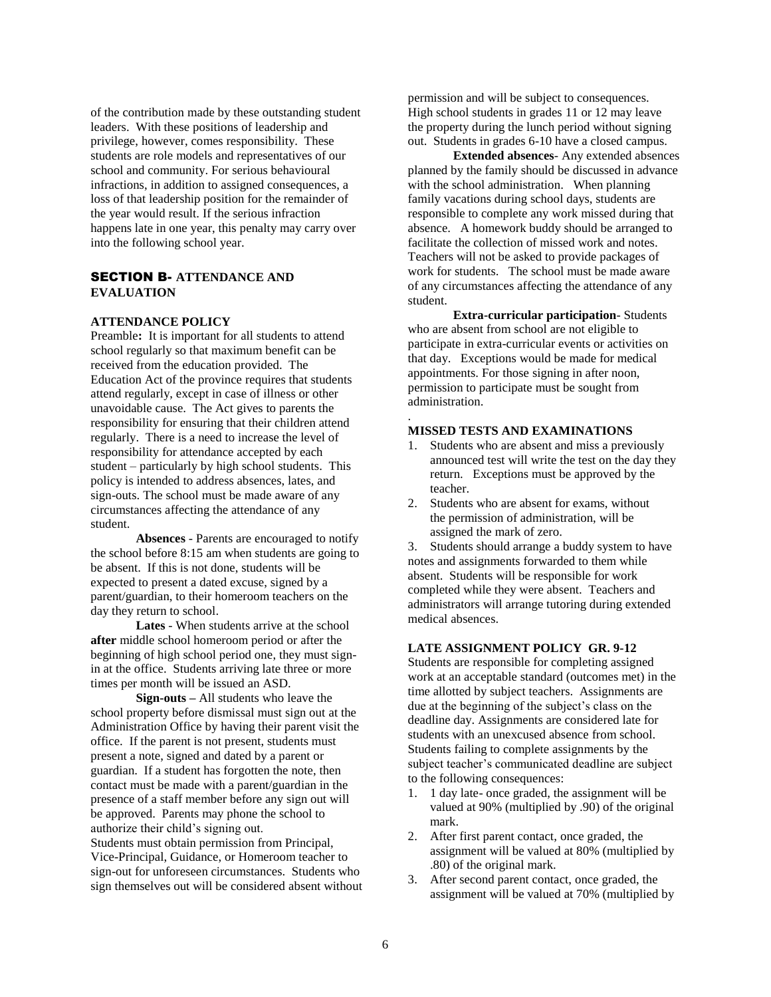of the contribution made by these outstanding student leaders. With these positions of leadership and privilege, however, comes responsibility. These students are role models and representatives of our school and community. For serious behavioural infractions, in addition to assigned consequences, a loss of that leadership position for the remainder of the year would result. If the serious infraction happens late in one year, this penalty may carry over into the following school year.

# SECTION B- **ATTENDANCE AND EVALUATION**

### **ATTENDANCE POLICY**

Preamble**:** It is important for all students to attend school regularly so that maximum benefit can be received from the education provided. The Education Act of the province requires that students attend regularly, except in case of illness or other unavoidable cause. The Act gives to parents the responsibility for ensuring that their children attend regularly. There is a need to increase the level of responsibility for attendance accepted by each student – particularly by high school students. This policy is intended to address absences, lates, and sign-outs. The school must be made aware of any circumstances affecting the attendance of any student.

**Absences** - Parents are encouraged to notify the school before 8:15 am when students are going to be absent. If this is not done, students will be expected to present a dated excuse, signed by a parent/guardian, to their homeroom teachers on the day they return to school.

**Lates** - When students arrive at the school **after** middle school homeroom period or after the beginning of high school period one, they must signin at the office. Students arriving late three or more times per month will be issued an ASD.

**Sign-outs –** All students who leave the school property before dismissal must sign out at the Administration Office by having their parent visit the office. If the parent is not present, students must present a note, signed and dated by a parent or guardian. If a student has forgotten the note, then contact must be made with a parent/guardian in the presence of a staff member before any sign out will be approved. Parents may phone the school to authorize their child's signing out. Students must obtain permission from Principal, Vice-Principal, Guidance, or Homeroom teacher to sign-out for unforeseen circumstances. Students who sign themselves out will be considered absent without permission and will be subject to consequences. High school students in grades 11 or 12 may leave the property during the lunch period without signing out. Students in grades 6-10 have a closed campus.

**Extended absences**- Any extended absences planned by the family should be discussed in advance with the school administration. When planning family vacations during school days, students are responsible to complete any work missed during that absence. A homework buddy should be arranged to facilitate the collection of missed work and notes. Teachers will not be asked to provide packages of work for students. The school must be made aware of any circumstances affecting the attendance of any student.

**Extra-curricular participation**- Students who are absent from school are not eligible to participate in extra-curricular events or activities on that day. Exceptions would be made for medical appointments. For those signing in after noon, permission to participate must be sought from administration.

### **MISSED TESTS AND EXAMINATIONS**

.

- 1. Students who are absent and miss a previously announced test will write the test on the day they return. Exceptions must be approved by the teacher.
- 2. Students who are absent for exams, without the permission of administration, will be assigned the mark of zero.

3. Students should arrange a buddy system to have notes and assignments forwarded to them while absent. Students will be responsible for work completed while they were absent. Teachers and administrators will arrange tutoring during extended medical absences.

#### **LATE ASSIGNMENT POLICY GR. 9-12**

Students are responsible for completing assigned work at an acceptable standard (outcomes met) in the time allotted by subject teachers. Assignments are due at the beginning of the subject's class on the deadline day. Assignments are considered late for students with an unexcused absence from school. Students failing to complete assignments by the subject teacher's communicated deadline are subject to the following consequences:

- 1. 1 day late- once graded, the assignment will be valued at 90% (multiplied by .90) of the original mark.
- 2. After first parent contact, once graded, the assignment will be valued at 80% (multiplied by .80) of the original mark.
- 3. After second parent contact, once graded, the assignment will be valued at 70% (multiplied by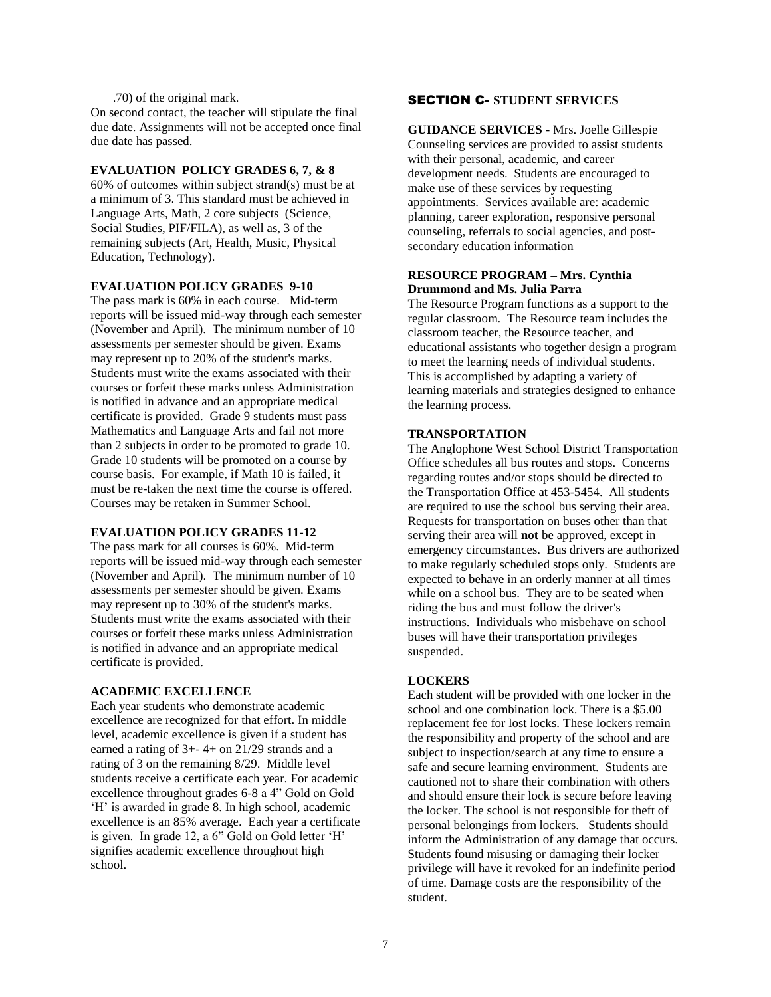### .70) of the original mark.

On second contact, the teacher will stipulate the final due date. Assignments will not be accepted once final due date has passed.

#### **EVALUATION POLICY GRADES 6, 7, & 8**

60% of outcomes within subject strand(s) must be at a minimum of 3. This standard must be achieved in Language Arts, Math, 2 core subjects (Science, Social Studies, PIF/FILA), as well as, 3 of the remaining subjects (Art, Health, Music, Physical Education, Technology).

### **EVALUATION POLICY GRADES 9-10**

The pass mark is 60% in each course. Mid-term reports will be issued mid-way through each semester (November and April). The minimum number of 10 assessments per semester should be given. Exams may represent up to 20% of the student's marks. Students must write the exams associated with their courses or forfeit these marks unless Administration is notified in advance and an appropriate medical certificate is provided. Grade 9 students must pass Mathematics and Language Arts and fail not more than 2 subjects in order to be promoted to grade 10. Grade 10 students will be promoted on a course by course basis. For example, if Math 10 is failed, it must be re-taken the next time the course is offered. Courses may be retaken in Summer School.

#### **EVALUATION POLICY GRADES 11-12**

The pass mark for all courses is 60%. Mid-term reports will be issued mid-way through each semester (November and April). The minimum number of 10 assessments per semester should be given. Exams may represent up to 30% of the student's marks. Students must write the exams associated with their courses or forfeit these marks unless Administration is notified in advance and an appropriate medical certificate is provided.

#### **ACADEMIC EXCELLENCE**

Each year students who demonstrate academic excellence are recognized for that effort. In middle level, academic excellence is given if a student has earned a rating of  $3+ - 4+$  on 21/29 strands and a rating of 3 on the remaining 8/29. Middle level students receive a certificate each year. For academic excellence throughout grades 6-8 a 4" Gold on Gold 'H' is awarded in grade 8. In high school, academic excellence is an 85% average. Each year a certificate is given. In grade 12, a 6" Gold on Gold letter 'H' signifies academic excellence throughout high school.

### SECTION C- **STUDENT SERVICES**

**GUIDANCE SERVICES** - Mrs. Joelle Gillespie Counseling services are provided to assist students with their personal, academic, and career development needs. Students are encouraged to make use of these services by requesting appointments. Services available are: academic planning, career exploration, responsive personal counseling, referrals to social agencies, and postsecondary education information

#### **RESOURCE PROGRAM – Mrs. Cynthia Drummond and Ms. Julia Parra**

The Resource Program functions as a support to the regular classroom. The Resource team includes the classroom teacher, the Resource teacher, and educational assistants who together design a program to meet the learning needs of individual students. This is accomplished by adapting a variety of learning materials and strategies designed to enhance the learning process.

#### **TRANSPORTATION**

The Anglophone West School District Transportation Office schedules all bus routes and stops. Concerns regarding routes and/or stops should be directed to the Transportation Office at 453-5454. All students are required to use the school bus serving their area. Requests for transportation on buses other than that serving their area will **not** be approved, except in emergency circumstances. Bus drivers are authorized to make regularly scheduled stops only. Students are expected to behave in an orderly manner at all times while on a school bus. They are to be seated when riding the bus and must follow the driver's instructions. Individuals who misbehave on school buses will have their transportation privileges suspended.

#### **LOCKERS**

Each student will be provided with one locker in the school and one combination lock. There is a \$5.00 replacement fee for lost locks. These lockers remain the responsibility and property of the school and are subject to inspection/search at any time to ensure a safe and secure learning environment. Students are cautioned not to share their combination with others and should ensure their lock is secure before leaving the locker. The school is not responsible for theft of personal belongings from lockers. Students should inform the Administration of any damage that occurs. Students found misusing or damaging their locker privilege will have it revoked for an indefinite period of time. Damage costs are the responsibility of the student.